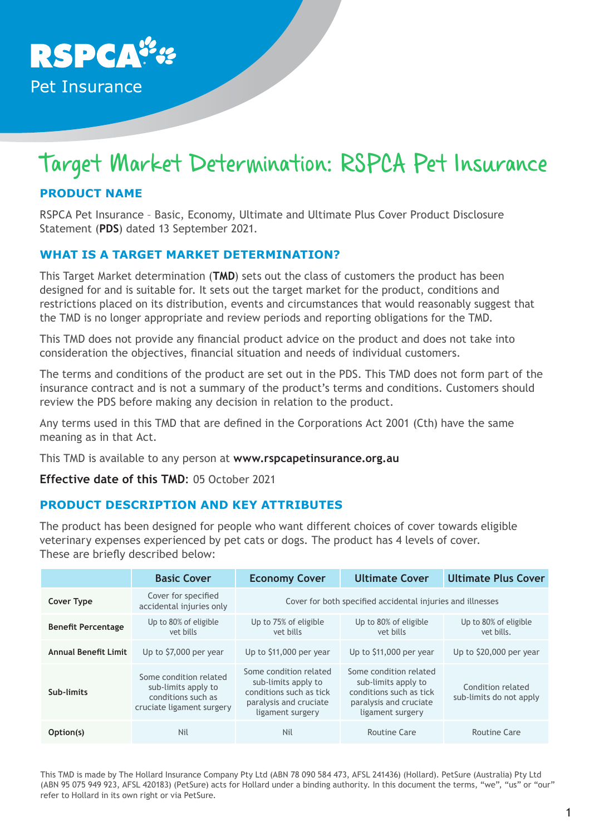

# Target Market Determination: RSPCA Pet Insurance

# **PRODUCT NAME**

RSPCA Pet Insurance – Basic, Economy, Ultimate and Ultimate Plus Cover Product Disclosure Statement (**PDS**) dated 13 September 2021.

## **WHAT IS A TARGET MARKET DETERMINATION?**

This Target Market determination (**TMD**) sets out the class of customers the product has been designed for and is suitable for. It sets out the target market for the product, conditions and restrictions placed on its distribution, events and circumstances that would reasonably suggest that the TMD is no longer appropriate and review periods and reporting obligations for the TMD.

This TMD does not provide any financial product advice on the product and does not take into consideration the objectives, financial situation and needs of individual customers.

The terms and conditions of the product are set out in the PDS. This TMD does not form part of the insurance contract and is not a summary of the product's terms and conditions. Customers should review the PDS before making any decision in relation to the product.

Any terms used in this TMD that are defined in the Corporations Act 2001 (Cth) have the same meaning as in that Act.

This TMD is available to any person at **www.rspcapetinsurance.org.au**

**Effective date of this TMD**: 05 October 2021

## **PRODUCT DESCRIPTION AND KEY ATTRIBUTES**

The product has been designed for people who want different choices of cover towards eligible veterinary expenses experienced by pet cats or dogs. The product has 4 levels of cover. These are briefly described below:

|                             | <b>Basic Cover</b>                                                                               | <b>Economy Cover</b>                                                                                                   | <b>Ultimate Cover</b>                                                                                                  | <b>Ultimate Plus Cover</b>                   |
|-----------------------------|--------------------------------------------------------------------------------------------------|------------------------------------------------------------------------------------------------------------------------|------------------------------------------------------------------------------------------------------------------------|----------------------------------------------|
| <b>Cover Type</b>           | Cover for specified<br>accidental injuries only                                                  | Cover for both specified accidental injuries and illnesses                                                             |                                                                                                                        |                                              |
| <b>Benefit Percentage</b>   | Up to 80% of eligible<br>vet bills                                                               | Up to 75% of eligible<br>vet bills                                                                                     | Up to 80% of eligible<br>vet bills                                                                                     | Up to 80% of eligible<br>vet bills.          |
| <b>Annual Benefit Limit</b> | Up to \$7,000 per year                                                                           | Up to \$11,000 per year                                                                                                | Up to \$11,000 per year                                                                                                | Up to \$20,000 per year                      |
| Sub-limits                  | Some condition related<br>sub-limits apply to<br>conditions such as<br>cruciate ligament surgery | Some condition related<br>sub-limits apply to<br>conditions such as tick<br>paralysis and cruciate<br>ligament surgery | Some condition related<br>sub-limits apply to<br>conditions such as tick<br>paralysis and cruciate<br>ligament surgery | Condition related<br>sub-limits do not apply |
| Option(s)                   | Nil                                                                                              | Nil                                                                                                                    | Routine Care                                                                                                           | Routine Care                                 |

This TMD is made by The Hollard Insurance Company Pty Ltd (ABN 78 090 584 473, AFSL 241436) (Hollard). PetSure (Australia) Pty Ltd (ABN 95 075 949 923, AFSL 420183) (PetSure) acts for Hollard under a binding authority. In this document the terms, "we", "us" or "our" refer to Hollard in its own right or via PetSure.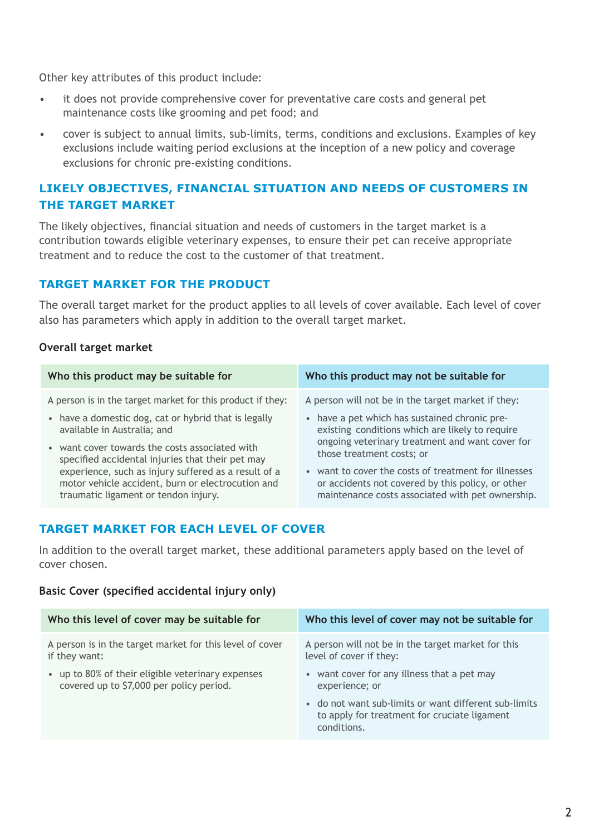Other key attributes of this product include:

- it does not provide comprehensive cover for preventative care costs and general pet maintenance costs like grooming and pet food; and
- cover is subject to annual limits, sub-limits, terms, conditions and exclusions. Examples of key exclusions include waiting period exclusions at the inception of a new policy and coverage exclusions for chronic pre-existing conditions.

## **LIKELY OBJECTIVES, FINANCIAL SITUATION AND NEEDS OF CUSTOMERS IN THE TARGET MARKET**

The likely objectives, financial situation and needs of customers in the target market is a contribution towards eligible veterinary expenses, to ensure their pet can receive appropriate treatment and to reduce the cost to the customer of that treatment.

## **TARGET MARKET FOR THE PRODUCT**

The overall target market for the product applies to all levels of cover available. Each level of cover also has parameters which apply in addition to the overall target market.

#### **Overall target market**

| Who this product may be suitable for                                                                                                              | Who this product may not be suitable for                                                                                                                                         |  |
|---------------------------------------------------------------------------------------------------------------------------------------------------|----------------------------------------------------------------------------------------------------------------------------------------------------------------------------------|--|
| A person is in the target market for this product if they:                                                                                        | A person will not be in the target market if they:                                                                                                                               |  |
| • have a domestic dog, cat or hybrid that is legally<br>available in Australia; and                                                               | • have a pet which has sustained chronic pre-<br>existing conditions which are likely to require<br>ongoing veterinary treatment and want cover for<br>those treatment costs; or |  |
| • want cover towards the costs associated with<br>specified accidental injuries that their pet may                                                |                                                                                                                                                                                  |  |
| experience, such as injury suffered as a result of a<br>motor vehicle accident, burn or electrocution and<br>traumatic ligament or tendon injury. | • want to cover the costs of treatment for illnesses<br>or accidents not covered by this policy, or other<br>maintenance costs associated with pet ownership.                    |  |

## **TARGET MARKET FOR EACH LEVEL OF COVER**

In addition to the overall target market, these additional parameters apply based on the level of cover chosen.

#### **Basic Cover (specified accidental injury only)**

| Who this level of cover may be suitable for              | Who this level of cover may not be suitable for                                                                      |
|----------------------------------------------------------|----------------------------------------------------------------------------------------------------------------------|
| A person is in the target market for this level of cover | A person will not be in the target market for this                                                                   |
| if they want:                                            | level of cover if they:                                                                                              |
| • up to 80% of their eligible veterinary expenses        | • want cover for any illness that a pet may                                                                          |
| covered up to \$7,000 per policy period.                 | experience; or                                                                                                       |
|                                                          | • do not want sub-limits or want different sub-limits<br>to apply for treatment for cruciate ligament<br>conditions. |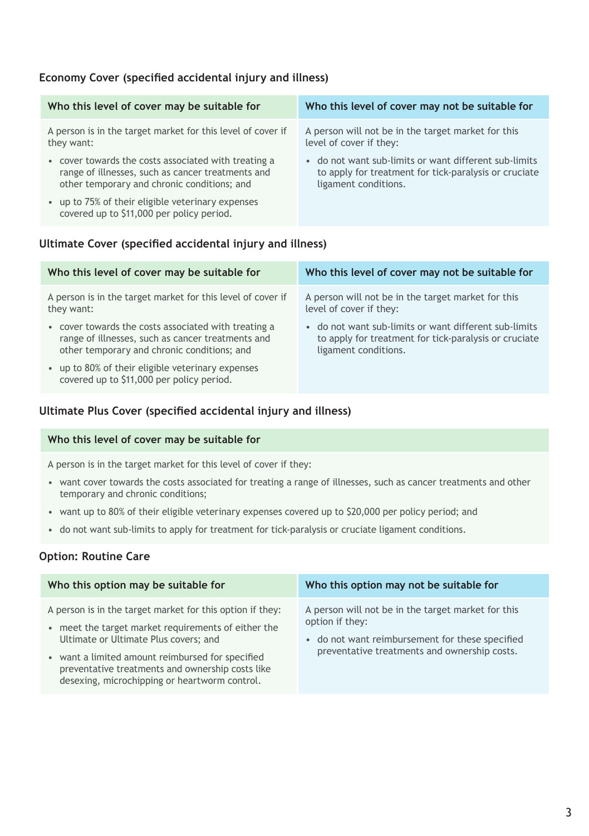## **Economy Cover (specified accidental injury and illness)**

| Who this level of cover may be suitable for                                                    | Who this level of cover may not be suitable for       |
|------------------------------------------------------------------------------------------------|-------------------------------------------------------|
| A person is in the target market for this level of cover if                                    | A person will not be in the target market for this    |
| they want:                                                                                     | level of cover if they:                               |
| • cover towards the costs associated with treating a                                           | • do not want sub-limits or want different sub-limits |
| range of illnesses, such as cancer treatments and                                              | to apply for treatment for tick-paralysis or cruciate |
| other temporary and chronic conditions; and                                                    | ligament conditions.                                  |
| • up to 75% of their eligible veterinary expenses<br>covered up to \$11,000 per policy period. |                                                       |

## **Ultimate Cover (specified accidental injury and illness)**

| Who this level of cover may be suitable for                                                    | Who this level of cover may not be suitable for       |  |
|------------------------------------------------------------------------------------------------|-------------------------------------------------------|--|
| A person is in the target market for this level of cover if                                    | A person will not be in the target market for this    |  |
| they want:                                                                                     | level of cover if they:                               |  |
| • cover towards the costs associated with treating a                                           | • do not want sub-limits or want different sub-limits |  |
| range of illnesses, such as cancer treatments and                                              | to apply for treatment for tick-paralysis or cruciate |  |
| other temporary and chronic conditions; and                                                    | ligament conditions.                                  |  |
| • up to 80% of their eligible veterinary expenses<br>covered up to \$11,000 per policy period. |                                                       |  |

#### **Ultimate Plus Cover (specified accidental injury and illness)**

#### **Who this level of cover may be suitable for**

A person is in the target market for this level of cover if they:

- want cover towards the costs associated for treating a range of illnesses, such as cancer treatments and other temporary and chronic conditions;
- want up to 80% of their eligible veterinary expenses covered up to \$20,000 per policy period; and
- do not want sub-limits to apply for treatment for tick-paralysis or cruciate ligament conditions.

## **Option: Routine Care**

| Who this option may be suitable for                                                                                                                                                                                                                                                                              | Who this option may not be suitable for                                                                                                                                  |
|------------------------------------------------------------------------------------------------------------------------------------------------------------------------------------------------------------------------------------------------------------------------------------------------------------------|--------------------------------------------------------------------------------------------------------------------------------------------------------------------------|
| A person is in the target market for this option if they:<br>meet the target market requirements of either the<br>Ultimate or Ultimate Plus covers; and<br>• want a limited amount reimbursed for specified<br>preventative treatments and ownership costs like<br>desexing, microchipping or heartworm control. | A person will not be in the target market for this<br>option if they:<br>• do not want reimbursement for these specified<br>preventative treatments and ownership costs. |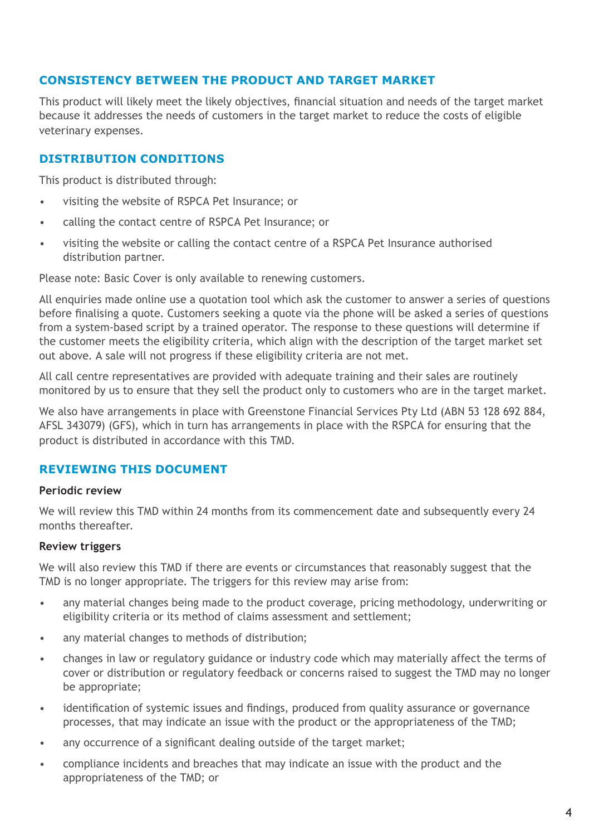## **CONSISTENCY BETWEEN THE PRODUCT AND TARGET MARKET**

This product will likely meet the likely objectives, financial situation and needs of the target market because it addresses the needs of customers in the target market to reduce the costs of eligible veterinary expenses.

## **DISTRIBUTION CONDITIONS**

This product is distributed through:

- visiting the website of RSPCA Pet Insurance; or
- calling the contact centre of RSPCA Pet Insurance; or
- visiting the website or calling the contact centre of a RSPCA Pet Insurance authorised distribution partner.

Please note: Basic Cover is only available to renewing customers.

All enquiries made online use a quotation tool which ask the customer to answer a series of questions before finalising a quote. Customers seeking a quote via the phone will be asked a series of questions from a system-based script by a trained operator. The response to these questions will determine if the customer meets the eligibility criteria, which align with the description of the target market set out above. A sale will not progress if these eligibility criteria are not met.

All call centre representatives are provided with adequate training and their sales are routinely monitored by us to ensure that they sell the product only to customers who are in the target market.

We also have arrangements in place with Greenstone Financial Services Pty Ltd (ABN 53 128 692 884, AFSL 343079) (GFS), which in turn has arrangements in place with the RSPCA for ensuring that the product is distributed in accordance with this TMD.

## **REVIEWING THIS DOCUMENT**

## **Periodic review**

We will review this TMD within 24 months from its commencement date and subsequently every 24 months thereafter.

## **Review triggers**

We will also review this TMD if there are events or circumstances that reasonably suggest that the TMD is no longer appropriate. The triggers for this review may arise from:

- any material changes being made to the product coverage, pricing methodology, underwriting or eligibility criteria or its method of claims assessment and settlement;
- any material changes to methods of distribution;
- changes in law or regulatory guidance or industry code which may materially affect the terms of cover or distribution or regulatory feedback or concerns raised to suggest the TMD may no longer be appropriate;
- identification of systemic issues and findings, produced from quality assurance or governance processes, that may indicate an issue with the product or the appropriateness of the TMD;
- any occurrence of a significant dealing outside of the target market;
- compliance incidents and breaches that may indicate an issue with the product and the appropriateness of the TMD; or